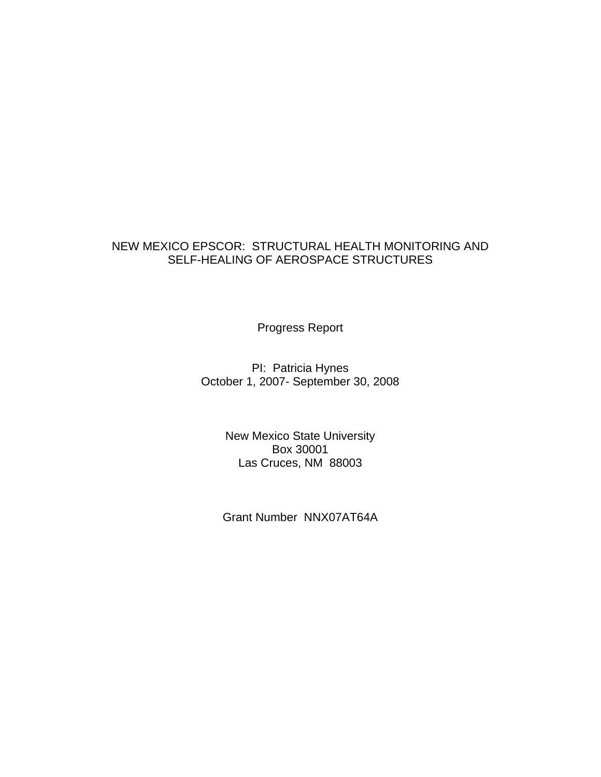## NEW MEXICO EPSCOR: STRUCTURAL HEALTH MONITORING AND SELF-HEALING OF AEROSPACE STRUCTURES

Progress Report

PI: Patricia Hynes October 1, 2007- September 30, 2008

> New Mexico State University Box 30001 Las Cruces, NM 88003

Grant Number NNX07AT64A